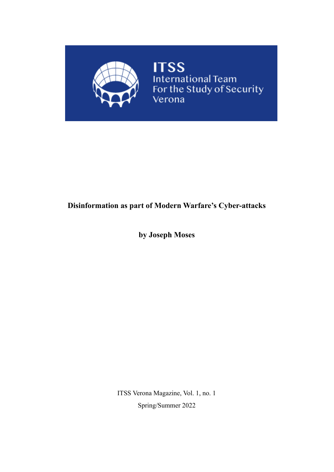

# **Disinformation as part of Modern Warfare's Cyber-attacks**

**by Joseph Moses**

ITSS Verona Magazine, Vol. 1, no. 1 Spring/Summer 2022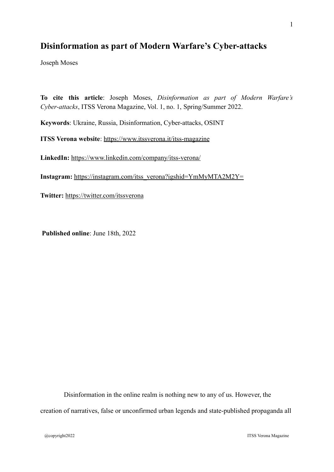# **Disinformation as part of Modern Warfare's Cyber-attacks**

Joseph Moses

**To cite this article**: Joseph Moses, *Disinformation as part of Modern Warfare's Cyber-attacks*, ITSS Verona Magazine, Vol. 1, no. 1, Spring/Summer 2022.

**Keywords**: Ukraine, Russia, Disinformation, Cyber-attacks, OSINT

**ITSS Verona website**:<https://www.itssverona.it/itss-magazine>

**LinkedIn:** <https://www.linkedin.com/company/itss-verona/>

**Instagram:** [https://instagram.com/itss\\_verona?igshid=YmMyMTA2M2Y=](https://instagram.com/itss_verona?igshid=YmMyMTA2M2Y=)

**Twitter:** <https://twitter.com/itssverona>

**Published online**: June 18th, 2022

Disinformation in the online realm is nothing new to any of us. However, the creation of narratives, false or unconfirmed urban legends and state-published propaganda all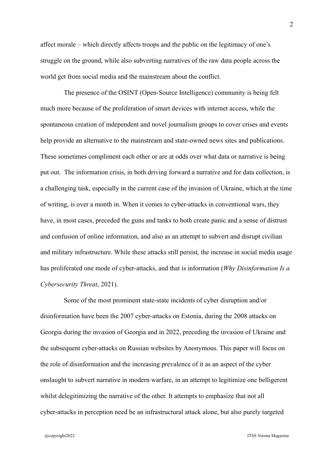affect morale – which directly affects troops and the public on the legitimacy of one's struggle on the ground, while also subverting narratives of the raw data people across the world get from social media and the mainstream about the conflict.

The presence of the OSINT (Open-Source Intelligence) community is being felt much more because of the proliferation of smart devices with internet access, while the spontaneous creation of independent and novel journalism groups to cover crises and events help provide an alternative to the mainstream and state-owned news sites and publications. These sometimes compliment each other or are at odds over what data or narrative is being put out. The information crisis, in both driving forward a narrative and for data collection, is a challenging task, especially in the current case of the invasion of Ukraine, which at the time of writing, is over a month in. When it comes to cyber-attacks in conventional wars, they have, in most cases, preceded the guns and tanks to both create panic and a sense of distrust and confusion of online information, and also as an attempt to subvert and disrupt civilian and military infrastructure. While these attacks still persist, the increase in social media usage has proliferated one mode of cyber-attacks, and that is information (*Why Disinformation Is a Cybersecurity Threat*, 2021).

Some of the most prominent state-state incidents of cyber disruption and/or disinformation have been the 2007 cyber-attacks on Estonia, during the 2008 attacks on Georgia during the invasion of Georgia and in 2022, preceding the invasion of Ukraine and the subsequent cyber-attacks on Russian websites by Anonymous. This paper will focus on the role of disinformation and the increasing prevalence of it as an aspect of the cyber onslaught to subvert narrative in modern warfare, in an attempt to legitimize one belligerent whilst delegitimizing the narrative of the other. It attempts to emphasize that not all cyber-attacks in perception need be an infrastructural attack alone, but also purely targeted

@copyright2022 ITSS Verona Magazine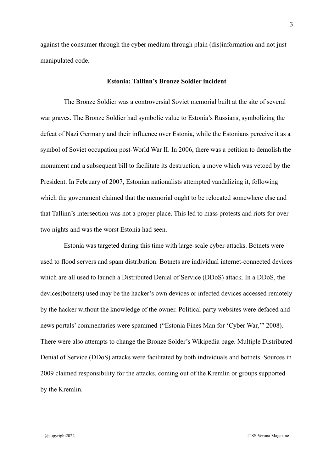against the consumer through the cyber medium through plain (dis)information and not just manipulated code.

#### **Estonia: Tallinn's Bronze Soldier incident**

The Bronze Soldier was a controversial Soviet memorial built at the site of several war graves. The Bronze Soldier had symbolic value to Estonia's Russians, symbolizing the defeat of Nazi Germany and their influence over Estonia, while the Estonians perceive it as a symbol of Soviet occupation post-World War II. In 2006, there was a petition to demolish the monument and a subsequent bill to facilitate its destruction, a move which was vetoed by the President. In February of 2007, Estonian nationalists attempted vandalizing it, following which the government claimed that the memorial ought to be relocated somewhere else and that Tallinn's intersection was not a proper place. This led to mass protests and riots for over two nights and was the worst Estonia had seen.

Estonia was targeted during this time with large-scale cyber-attacks. Botnets were used to flood servers and spam distribution. Botnets are individual internet-connected devices which are all used to launch a Distributed Denial of Service (DDoS) attack. In a DDoS, the devices(botnets) used may be the hacker's own devices or infected devices accessed remotely by the hacker without the knowledge of the owner. Political party websites were defaced and news portals' commentaries were spammed ("Estonia Fines Man for 'Cyber War,'" 2008). There were also attempts to change the Bronze Solder's Wikipedia page. Multiple Distributed Denial of Service (DDoS) attacks were facilitated by both individuals and botnets. Sources in 2009 claimed responsibility for the attacks, coming out of the Kremlin or groups supported by the Kremlin.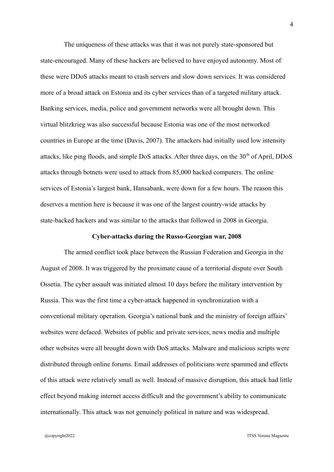The uniqueness of these attacks was that it was not purely state-sponsored but state-encouraged. Many of these hackers are believed to have enjoyed autonomy. Most of these were DDoS attacks meant to crash servers and slow down services. It was considered more of a broad attack on Estonia and its cyber services than of a targeted military attack. Banking services, media, police and government networks were all brought down. This virtual blitzkrieg was also successful because Estonia was one of the most networked countries in Europe at the time (Davis, 2007). The attackers had initially used low intensity attacks, like ping floods, and simple DoS attacks. After three days, on the  $30<sup>th</sup>$  of April, DDoS attacks through botnets were used to attack from 85,000 hacked computers. The online services of Estonia's largest bank, Hansabank, were down for a few hours. The reason this deserves a mention here is because it was one of the largest country-wide attacks by state-backed hackers and was similar to the attacks that followed in 2008 in Georgia.

## **Cyber-attacks during the Russo-Georgian war, 2008**

The armed conflict took place between the Russian Federation and Georgia in the August of 2008. It was triggered by the proximate cause of a territorial dispute over South Ossetia. The cyber assault was initiated almost 10 days before the military intervention by Russia. This was the first time a cyber-attack happened in synchronization with a conventional military operation. Georgia's national bank and the ministry of foreign affairs' websites were defaced. Websites of public and private services, news media and multiple other websites were all brought down with DoS attacks. Malware and malicious scripts were distributed through online forums. Email addresses of politicians were spammed and effects of this attack were relatively small as well. Instead of massive disruption, this attack had little effect beyond making internet access difficult and the government's ability to communicate internationally. This attack was not genuinely political in nature and was widespread.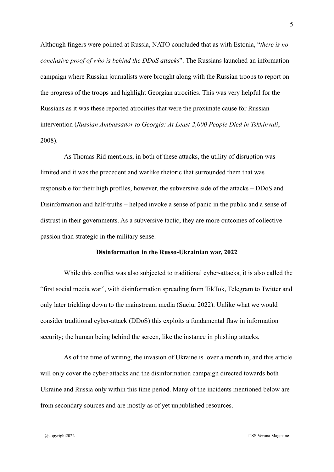Although fingers were pointed at Russia, NATO concluded that as with Estonia, "*there is no conclusive proof of who is behind the DDoS attacks*". The Russians launched an information campaign where Russian journalists were brought along with the Russian troops to report on the progress of the troops and highlight Georgian atrocities. This was very helpful for the Russians as it was these reported atrocities that were the proximate cause for Russian intervention (*Russian Ambassador to Georgia: At Least 2,000 People Died in Tskhinvali*, 2008).

As Thomas Rid mentions, in both of these attacks, the utility of disruption was limited and it was the precedent and warlike rhetoric that surrounded them that was responsible for their high profiles, however, the subversive side of the attacks – DDoS and Disinformation and half-truths – helped invoke a sense of panic in the public and a sense of distrust in their governments. As a subversive tactic, they are more outcomes of collective passion than strategic in the military sense.

### **Disinformation in the Russo-Ukrainian war, 2022**

While this conflict was also subjected to traditional cyber-attacks, it is also called the "first social media war", with disinformation spreading from TikTok, Telegram to Twitter and only later trickling down to the mainstream media (Suciu, 2022). Unlike what we would consider traditional cyber-attack (DDoS) this exploits a fundamental flaw in information security; the human being behind the screen, like the instance in phishing attacks.

As of the time of writing, the invasion of Ukraine is over a month in, and this article will only cover the cyber-attacks and the disinformation campaign directed towards both Ukraine and Russia only within this time period. Many of the incidents mentioned below are from secondary sources and are mostly as of yet unpublished resources.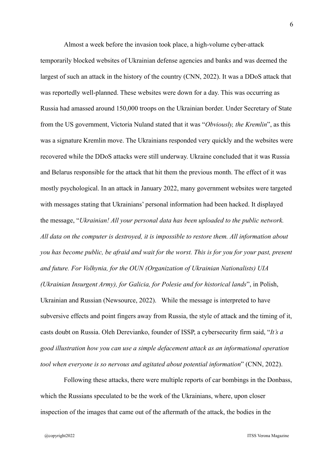Almost a week before the invasion took place, a high-volume cyber-attack temporarily blocked websites of Ukrainian defense agencies and banks and was deemed the largest of such an attack in the history of the country (CNN, 2022). It was a DDoS attack that was reportedly well-planned. These websites were down for a day. This was occurring as Russia had amassed around 150,000 troops on the Ukrainian border. Under Secretary of State from the US government, Victoria Nuland stated that it was "*Obviously, the Kremlin*", as this was a signature Kremlin move. The Ukrainians responded very quickly and the websites were recovered while the DDoS attacks were still underway. Ukraine concluded that it was Russia and Belarus responsible for the attack that hit them the previous month. The effect of it was mostly psychological. In an attack in January 2022, many government websites were targeted with messages stating that Ukrainians' personal information had been hacked. It displayed the message, "*Ukrainian! All your personal data has been uploaded to the public network. All data on the computer is destroyed, it is impossible to restore them. All information about you has become public, be afraid and wait for the worst. This is for you for your past, present and future. For Volhynia, for the OUN (Organization of Ukrainian Nationalists) UIA (Ukrainian Insurgent Army), for Galicia, for Polesie and for historical lands*", in Polish, Ukrainian and Russian (Newsource, 2022). While the message is interpreted to have subversive effects and point fingers away from Russia, the style of attack and the timing of it, casts doubt on Russia. Oleh Derevianko, founder of ISSP, a cybersecurity firm said, "*It's a good illustration how you can use a simple defacement attack as an informational operation tool when everyone is so nervous and agitated about potential information*" (CNN, 2022).

Following these attacks, there were multiple reports of car bombings in the Donbass, which the Russians speculated to be the work of the Ukrainians, where, upon closer inspection of the images that came out of the aftermath of the attack, the bodies in the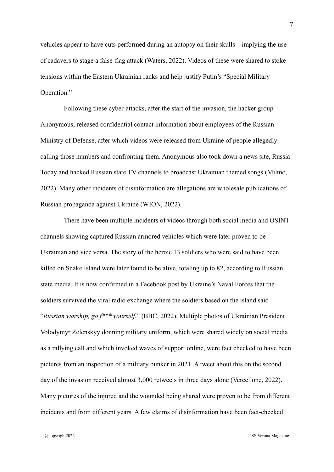vehicles appear to have cuts performed during an autopsy on their skulls – implying the use of cadavers to stage a false-flag attack (Waters, 2022). Videos of these were shared to stoke tensions within the Eastern Ukrainian ranks and help justify Putin's "Special Military Operation."

Following these cyber-attacks, after the start of the invasion, the hacker group Anonymous, released confidential contact information about employees of the Russian Ministry of Defense, after which videos were released from Ukraine of people allegedly calling those numbers and confronting them. Anonymous also took down a news site, Russia Today and hacked Russian state TV channels to broadcast Ukrainian themed songs (Milmo, 2022). Many other incidents of disinformation are allegations are wholesale publications of Russian propaganda against Ukraine (WION, 2022).

There have been multiple incidents of videos through both social media and OSINT channels showing captured Russian armored vehicles which were later proven to be Ukrainian and vice versa. The story of the heroic 13 soldiers who were said to have been killed on Snake Island were later found to be alive, totaling up to 82, according to Russian state media. It is now confirmed in a Facebook post by Ukraine's Naval Forces that the soldiers survived the viral radio exchange where the soldiers based on the island said "*Russian warship, go f\*\*\* yourself.*" (BBC, 2022). Multiple photos of Ukrainian President Volodymyr Zelenskyy donning military uniform, which were shared widely on social media as a rallying call and which invoked waves of support online, were fact checked to have been pictures from an inspection of a military bunker in 2021. A tweet about this on the second day of the invasion received almost 3,000 retweets in three days alone (Vercellone, 2022). Many pictures of the injured and the wounded being shared were proven to be from different incidents and from different years. A few claims of disinformation have been fact-checked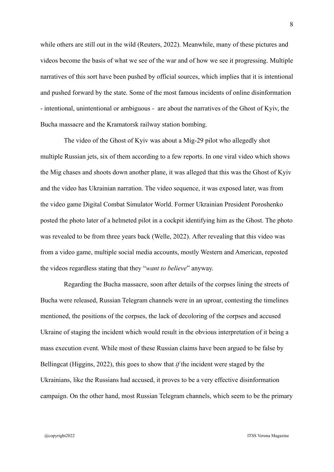while others are still out in the wild (Reuters, 2022). Meanwhile, many of these pictures and videos become the basis of what we see of the war and of how we see it progressing. Multiple narratives of this sort have been pushed by official sources, which implies that it is intentional and pushed forward by the state. Some of the most famous incidents of online disinformation - intentional, unintentional or ambiguous - are about the narratives of the Ghost of Kyiv, the Bucha massacre and the Kramatorsk railway station bombing.

The video of the Ghost of Kyiv was about a Mig-29 pilot who allegedly shot multiple Russian jets, six of them according to a few reports. In one viral video which shows the Mig chases and shoots down another plane, it was alleged that this was the Ghost of Kyiv and the video has Ukrainian narration. The video sequence, it was exposed later, was from the video game Digital Combat Simulator World. Former Ukrainian President Poroshenko posted the photo later of a helmeted pilot in a cockpit identifying him as the Ghost. The photo was revealed to be from three years back (Welle, 2022). After revealing that this video was from a video game, multiple social media accounts, mostly Western and American, reposted the videos regardless stating that they "*want to believe*" anyway.

Regarding the Bucha massacre, soon after details of the corpses lining the streets of Bucha were released, Russian Telegram channels were in an uproar, contesting the timelines mentioned, the positions of the corpses, the lack of decoloring of the corpses and accused Ukraine of staging the incident which would result in the obvious interpretation of it being a mass execution event. While most of these Russian claims have been argued to be false by Bellingcat (Higgins, 2022), this goes to show that *if* the incident were staged by the Ukrainians, like the Russians had accused, it proves to be a very effective disinformation campaign. On the other hand, most Russian Telegram channels, which seem to be the primary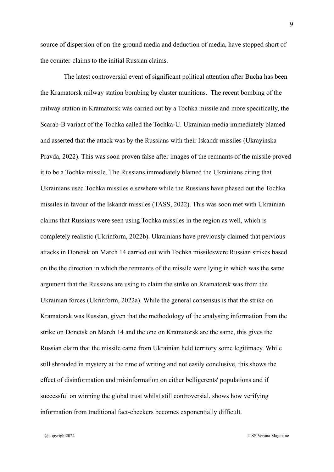source of dispersion of on-the-ground media and deduction of media, have stopped short of the counter-claims to the initial Russian claims.

The latest controversial event of significant political attention after Bucha has been the Kramatorsk railway station bombing by cluster munitions. The recent bombing of the railway station in Kramatorsk was carried out by a Tochka missile and more specifically, the Scarab-B variant of the Tochka called the Tochka-U. Ukrainian media immediately blamed and asserted that the attack was by the Russians with their Iskandr missiles (Ukrayinska Pravda, 2022). This was soon proven false after images of the remnants of the missile proved it to be a Tochka missile. The Russians immediately blamed the Ukrainians citing that Ukrainians used Tochka missiles elsewhere while the Russians have phased out the Tochka missiles in favour of the Iskandr missiles (TASS, 2022). This was soon met with Ukrainian claims that Russians were seen using Tochka missiles in the region as well, which is completely realistic (Ukrinform, 2022b). Ukrainians have previously claimed that pervious attacks in Donetsk on March 14 carried out with Tochka missileswere Russian strikes based on the the direction in which the remnants of the missile were lying in which was the same argument that the Russians are using to claim the strike on Kramatorsk was from the Ukrainian forces (Ukrinform, 2022a). While the general consensus is that the strike on Kramatorsk was Russian, given that the methodology of the analysing information from the strike on Donetsk on March 14 and the one on Kramatorsk are the same, this gives the Russian claim that the missile came from Ukrainian held territory some legitimacy. While still shrouded in mystery at the time of writing and not easily conclusive, this shows the effect of disinformation and misinformation on either belligerents' populations and if successful on winning the global trust whilst still controversial, shows how verifying information from traditional fact-checkers becomes exponentially difficult.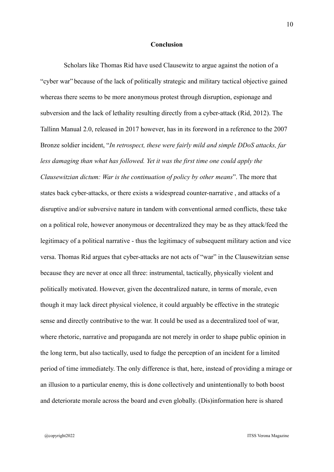#### **Conclusion**

Scholars like Thomas Rid have used Clausewitz to argue against the notion of a "cyber war" because of the lack of politically strategic and military tactical objective gained whereas there seems to be more anonymous protest through disruption, espionage and subversion and the lack of lethality resulting directly from a cyber-attack (Rid, 2012). The Tallinn Manual 2.0, released in 2017 however, has in its foreword in a reference to the 2007 Bronze soldier incident, "*In retrospect, these were fairly mild and simple DDoS attacks, far less damaging than what has followed. Yet it was the first time one could apply the Clausewitzian dictum: War is the continuation of policy by other means*". The more that states back cyber-attacks, or there exists a widespread counter-narrative , and attacks of a disruptive and/or subversive nature in tandem with conventional armed conflicts, these take on a political role, however anonymous or decentralized they may be as they attack/feed the legitimacy of a political narrative - thus the legitimacy of subsequent military action and vice versa. Thomas Rid argues that cyber-attacks are not acts of "war" in the Clausewitzian sense because they are never at once all three: instrumental, tactically, physically violent and politically motivated. However, given the decentralized nature, in terms of morale, even though it may lack direct physical violence, it could arguably be effective in the strategic sense and directly contributive to the war. It could be used as a decentralized tool of war, where rhetoric, narrative and propaganda are not merely in order to shape public opinion in the long term, but also tactically, used to fudge the perception of an incident for a limited period of time immediately. The only difference is that, here, instead of providing a mirage or an illusion to a particular enemy, this is done collectively and unintentionally to both boost and deteriorate morale across the board and even globally. (Dis)information here is shared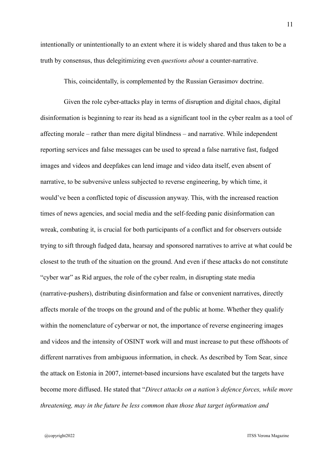intentionally or unintentionally to an extent where it is widely shared and thus taken to be a truth by consensus, thus delegitimizing even *questions about* a counter-narrative.

This, coincidentally, is complemented by the Russian Gerasimov doctrine.

Given the role cyber-attacks play in terms of disruption and digital chaos, digital disinformation is beginning to rear its head as a significant tool in the cyber realm as a tool of affecting morale – rather than mere digital blindness – and narrative. While independent reporting services and false messages can be used to spread a false narrative fast, fudged images and videos and deepfakes can lend image and video data itself, even absent of narrative, to be subversive unless subjected to reverse engineering, by which time, it would've been a conflicted topic of discussion anyway. This, with the increased reaction times of news agencies, and social media and the self-feeding panic disinformation can wreak, combating it, is crucial for both participants of a conflict and for observers outside trying to sift through fudged data, hearsay and sponsored narratives to arrive at what could be closest to the truth of the situation on the ground. And even if these attacks do not constitute "cyber war" as Rid argues, the role of the cyber realm, in disrupting state media (narrative-pushers), distributing disinformation and false or convenient narratives, directly affects morale of the troops on the ground and of the public at home. Whether they qualify within the nomenclature of cyberwar or not, the importance of reverse engineering images and videos and the intensity of OSINT work will and must increase to put these offshoots of different narratives from ambiguous information, in check. As described by Tom Sear, since the attack on Estonia in 2007, internet-based incursions have escalated but the targets have become more diffused. He stated that "*Direct attacks on a nation's defence forces, while more threatening, may in the future be less common than those that target information and*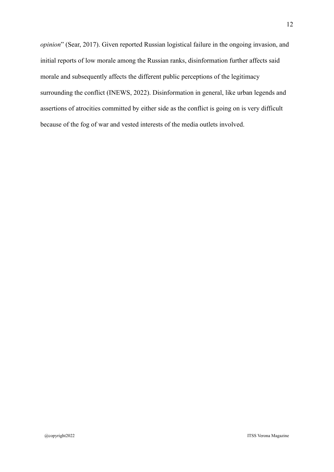*opinion*" (Sear, 2017). Given reported Russian logistical failure in the ongoing invasion, and initial reports of low morale among the Russian ranks, disinformation further affects said morale and subsequently affects the different public perceptions of the legitimacy surrounding the conflict (INEWS, 2022). Disinformation in general, like urban legends and assertions of atrocities committed by either side as the conflict is going on is very difficult because of the fog of war and vested interests of the media outlets involved.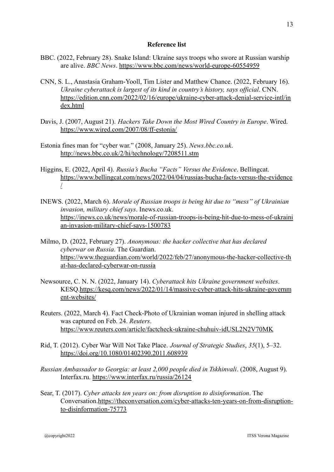### **Reference list**

- BBC. (2022, February 28). Snake Island: Ukraine says troops who swore at Russian warship are alive. *BBC News*. <https://www.bbc.com/news/world-europe-60554959>
- CNN, S. L., Anastasia Graham-Yooll, Tim Lister and Matthew Chance. (2022, February 16). *Ukraine cyberattack is largest of its kind in country's history, says official*. CNN. [https://edition.cnn.com/2022/02/16/europe/ukraine-cyber-attack-denial-service-intl/in](https://edition.cnn.com/2022/02/16/europe/ukraine-cyber-attack-denial-service-intl/index.html) [dex.html](https://edition.cnn.com/2022/02/16/europe/ukraine-cyber-attack-denial-service-intl/index.html)
- Davis, J. (2007, August 21). *Hackers Take Down the Most Wired Country in Europe*. Wired. <https://www.wired.com/2007/08/ff-estonia/>
- Estonia fines man for "cyber war." (2008, January 25). *News.bbc.co.uk*. <http://news.bbc.co.uk/2/hi/technology/7208511.stm>
- Higgins, E. (2022, April 4). *Russia's Bucha "Facts" Versus the Evidence*. Bellingcat. [https://www.bellingcat.com/news/2022/04/04/russias-bucha-facts-versus-the-evidence](https://www.bellingcat.com/news/2022/04/04/russias-bucha-facts-versus-the-evidence/) [/](https://www.bellingcat.com/news/2022/04/04/russias-bucha-facts-versus-the-evidence/)
- INEWS. (2022, March 6). *Morale of Russian troops is being hit due to "mess" of Ukrainian invasion, military chief says*. Inews.co.uk. [https://inews.co.uk/news/morale-of-russian-troops-is-being-hit-due-to-mess-of-ukraini](https://inews.co.uk/news/morale-of-russian-troops-is-being-hit-due-to-mess-of-ukrainian-invasion-military-chief-says-1500783) [an-invasion-military-chief-says-1500783](https://inews.co.uk/news/morale-of-russian-troops-is-being-hit-due-to-mess-of-ukrainian-invasion-military-chief-says-1500783)
- Milmo, D. (2022, February 27). *Anonymous: the hacker collective that has declared cyberwar on Russia*. The Guardian. [https://www.theguardian.com/world/2022/feb/27/anonymous-the-hacker-collective-th](https://www.theguardian.com/world/2022/feb/27/anonymous-the-hacker-collective-that-has-declared-cyberwar-on-russia) [at-has-declared-cyberwar-on-russia](https://www.theguardian.com/world/2022/feb/27/anonymous-the-hacker-collective-that-has-declared-cyberwar-on-russia)
- Newsource, C. N. N. (2022, January 14). *Cyberattack hits Ukraine government websites*. KESQ[.https://kesq.com/news/2022/01/14/massive-cyber-attack-hits-ukraine-governm](https://kesq.com/news/2022/01/14/massive-cyber-attack-hits-ukraine-government-websites/) [ent-websites/](https://kesq.com/news/2022/01/14/massive-cyber-attack-hits-ukraine-government-websites/)
- Reuters. (2022, March 4). Fact Check-Photo of Ukrainian woman injured in shelling attack was captured on Feb. 24. *Reuters*. <https://www.reuters.com/article/factcheck-ukraine-chuhuiv-idUSL2N2V70MK>
- Rid, T. (2012). Cyber War Will Not Take Place. *Journal of Strategic Studies*, *35*(1), 5–32. <https://doi.org/10.1080/01402390.2011.608939>
- *Russian Ambassador to Georgia: at least 2,000 people died in Tskhinvali*. (2008, August 9). Interfax.ru. <https://www.interfax.ru/russia/26124>
- Sear, T. (2017). *Cyber attacks ten years on: from disruption to disinformation*. The Conversation.[https://theconversation.com/cyber-attacks-ten-years-on-from-disruption](https://theconversation.com/cyber-attacks-ten-years-on-from-disruption-to-disinformation-75773)[to-disinformation-75773](https://theconversation.com/cyber-attacks-ten-years-on-from-disruption-to-disinformation-75773)